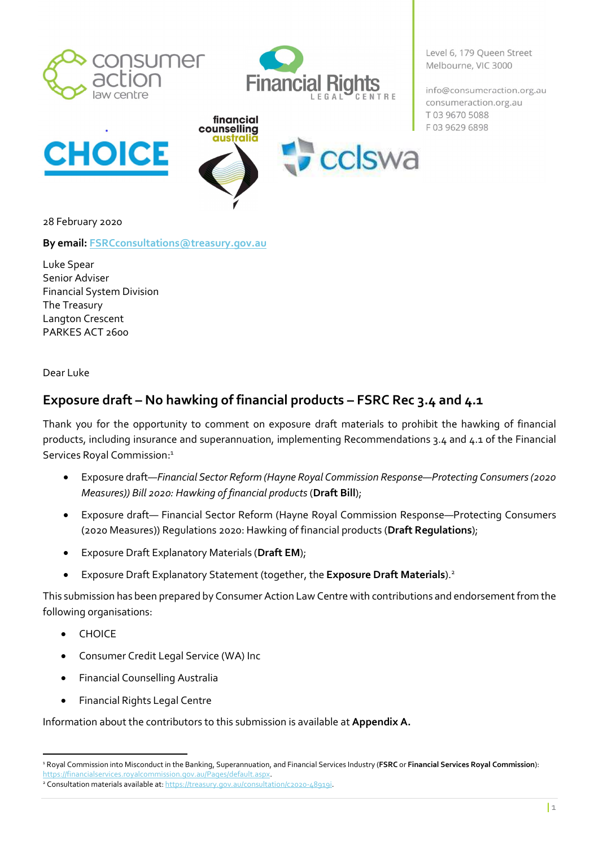



Level 6, 179 Queen Street Melbourne, VIC 3000

info@consumeraction.org.au consumeraction.org.au T03 9670 5088 F03 9629 6898



28 February 2020

By email: FSRCconsultations@treasury.gov.au

Luke Spear Senior Adviser Financial System Division The Treasury Langton Crescent PARKES ACT 2600

Dear Luke

## Exposure draft – No hawking of financial products – FSRC Rec 3.4 and 4.1

Thank you for the opportunity to comment on exposure draft materials to prohibit the hawking of financial products, including insurance and superannuation, implementing Recommendations 3.4 and 4.1 of the Financial Services Royal Commission:<sup>1</sup>

- Exposure draft—Financial Sector Reform (Hayne Royal Commission Response—Protecting Consumers (2020 Measures)) Bill 2020: Hawking of financial products (Draft Bill);
- Exposure draft— Financial Sector Reform (Hayne Royal Commission Response—Protecting Consumers (2020 Measures)) Regulations 2020: Hawking of financial products (Draft Regulations);
- **•** Exposure Draft Explanatory Materials (Draft EM);
- **Exposure Draft Explanatory Statement (together, the Exposure Draft Materials**).<sup>2</sup>

This submission has been prepared by Consumer Action Law Centre with contributions and endorsement from the following organisations:

- CHOICE
- Consumer Credit Legal Service (WA) Inc
- Financial Counselling Australia
- Financial Rights Legal Centre

Information about the contributors to this submission is available at Appendix A.

<sup>&</sup>lt;sup>1</sup> Royal Commission into Misconduct in the Banking, Superannuation, and Financial Services Industry (FSRC or Financial Services Royal Commission): https://financialservices.royalcommission.gov.au/Pages/default.aspx.

<sup>&</sup>lt;sup>2</sup> Consultation materials available at: https://treasury.gov.au/consultation/c2020-48919i.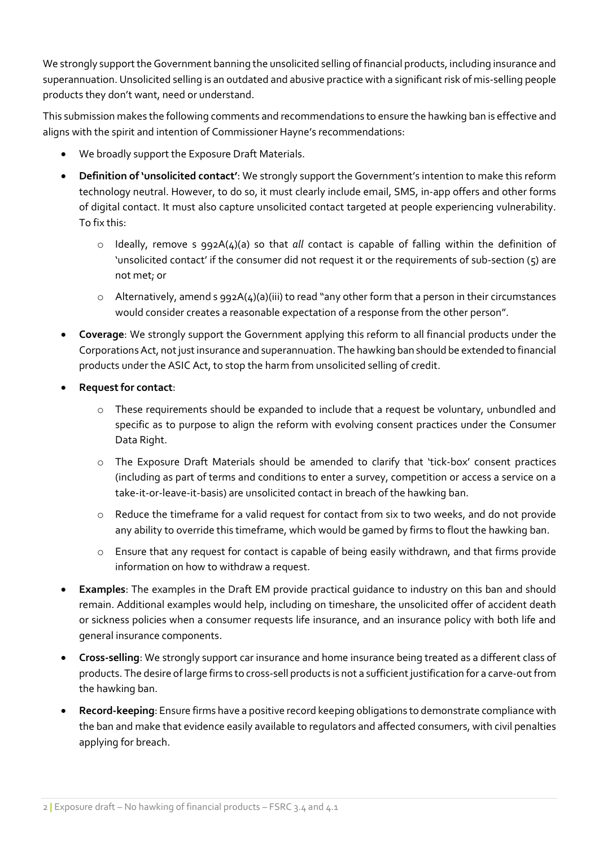We strongly support the Government banning the unsolicited selling of financial products, including insurance and superannuation. Unsolicited selling is an outdated and abusive practice with a significant risk of mis-selling people products they don't want, need or understand.

This submission makes the following comments and recommendations to ensure the hawking ban is effective and aligns with the spirit and intention of Commissioner Hayne's recommendations:

- We broadly support the Exposure Draft Materials.
- Definition of 'unsolicited contact': We strongly support the Government's intention to make this reform technology neutral. However, to do so, it must clearly include email, SMS, in-app offers and other forms of digital contact. It must also capture unsolicited contact targeted at people experiencing vulnerability. To fix this:
	- $\circ$  Ideally, remove s 992A(4)(a) so that all contact is capable of falling within the definition of 'unsolicited contact' if the consumer did not request it or the requirements of sub-section (5) are not met; or
	- o Alternatively, amend s 992A(4)(a)(iii) to read "any other form that a person in their circumstances would consider creates a reasonable expectation of a response from the other person".
- Coverage: We strongly support the Government applying this reform to all financial products under the Corporations Act, not just insurance and superannuation. The hawking ban should be extended to financial products under the ASIC Act, to stop the harm from unsolicited selling of credit.
- Request for contact:
	- o These requirements should be expanded to include that a request be voluntary, unbundled and specific as to purpose to align the reform with evolving consent practices under the Consumer Data Right.
	- o The Exposure Draft Materials should be amended to clarify that 'tick-box' consent practices (including as part of terms and conditions to enter a survey, competition or access a service on a take-it-or-leave-it-basis) are unsolicited contact in breach of the hawking ban.
	- o Reduce the timeframe for a valid request for contact from six to two weeks, and do not provide any ability to override this timeframe, which would be gamed by firms to flout the hawking ban.
	- o Ensure that any request for contact is capable of being easily withdrawn, and that firms provide information on how to withdraw a request.
- Examples: The examples in the Draft EM provide practical guidance to industry on this ban and should remain. Additional examples would help, including on timeshare, the unsolicited offer of accident death or sickness policies when a consumer requests life insurance, and an insurance policy with both life and general insurance components.
- Cross-selling: We strongly support car insurance and home insurance being treated as a different class of products. The desire of large firms to cross-sell products is not a sufficient justification for a carve-out from the hawking ban.
- Record-keeping: Ensure firms have a positive record keeping obligations to demonstrate compliance with the ban and make that evidence easily available to regulators and affected consumers, with civil penalties applying for breach.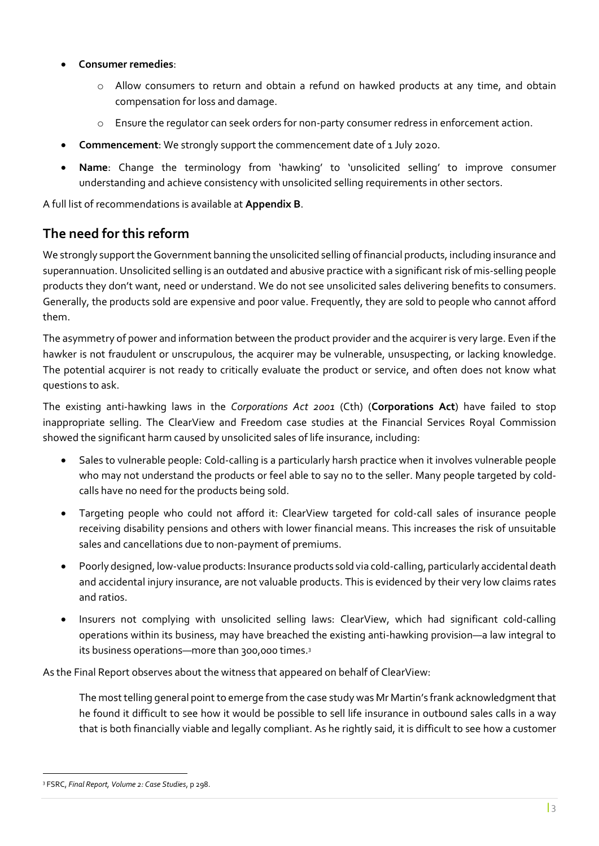- Consumer remedies:
	- o Allow consumers to return and obtain a refund on hawked products at any time, and obtain compensation for loss and damage.
	- o Ensure the regulator can seek orders for non-party consumer redress in enforcement action.
- Commencement: We strongly support the commencement date of 1 July 2020.
- Name: Change the terminology from 'hawking' to 'unsolicited selling' to improve consumer understanding and achieve consistency with unsolicited selling requirements in other sectors.

A full list of recommendations is available at Appendix B.

## The need for this reform

We strongly support the Government banning the unsolicited selling of financial products, including insurance and superannuation. Unsolicited selling is an outdated and abusive practice with a significant risk of mis-selling people products they don't want, need or understand. We do not see unsolicited sales delivering benefits to consumers. Generally, the products sold are expensive and poor value. Frequently, they are sold to people who cannot afford them.

The asymmetry of power and information between the product provider and the acquirer is very large. Even if the hawker is not fraudulent or unscrupulous, the acquirer may be vulnerable, unsuspecting, or lacking knowledge. The potential acquirer is not ready to critically evaluate the product or service, and often does not know what questions to ask.

The existing anti-hawking laws in the Corporations Act 2001 (Cth) (Corporations Act) have failed to stop inappropriate selling. The ClearView and Freedom case studies at the Financial Services Royal Commission showed the significant harm caused by unsolicited sales of life insurance, including:

- Sales to vulnerable people: Cold-calling is a particularly harsh practice when it involves vulnerable people who may not understand the products or feel able to say no to the seller. Many people targeted by coldcalls have no need for the products being sold.
- Targeting people who could not afford it: ClearView targeted for cold-call sales of insurance people receiving disability pensions and others with lower financial means. This increases the risk of unsuitable sales and cancellations due to non-payment of premiums.
- Poorly designed, low-value products: Insurance products sold via cold-calling, particularly accidental death and accidental injury insurance, are not valuable products. This is evidenced by their very low claims rates and ratios.
- Insurers not complying with unsolicited selling laws: ClearView, which had significant cold-calling operations within its business, may have breached the existing anti-hawking provision—a law integral to its business operations—more than 300,000 times.<sup>3</sup>

As the Final Report observes about the witness that appeared on behalf of ClearView:

The most telling general point to emerge from the case study was Mr Martin's frank acknowledgment that he found it difficult to see how it would be possible to sell life insurance in outbound sales calls in a way that is both financially viable and legally compliant. As he rightly said, it is difficult to see how a customer

<sup>&</sup>lt;sup>3</sup> FSRC, Final Report, Volume 2: Case Studies, p 298.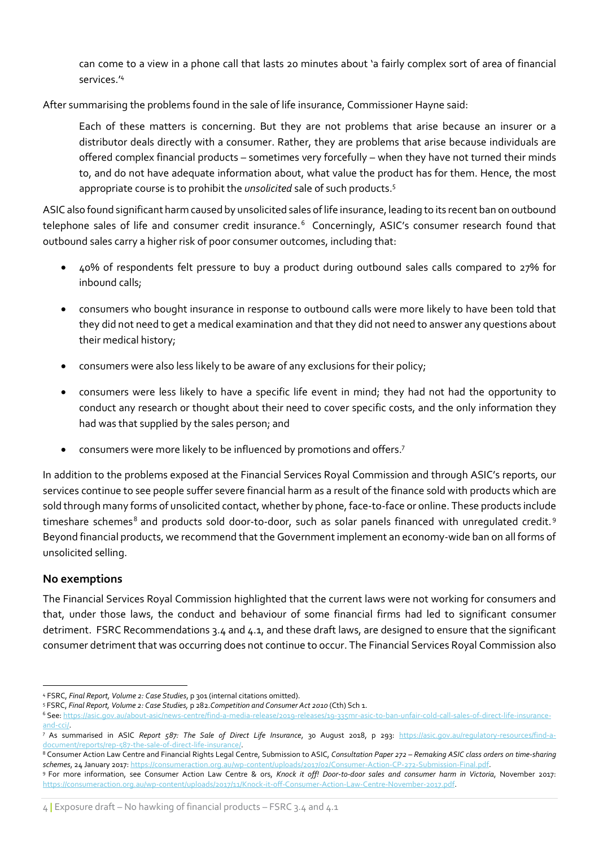can come to a view in a phone call that lasts 20 minutes about 'a fairly complex sort of area of financial services.'<sup>4</sup>

After summarising the problems found in the sale of life insurance, Commissioner Hayne said:

Each of these matters is concerning. But they are not problems that arise because an insurer or a distributor deals directly with a consumer. Rather, they are problems that arise because individuals are offered complex financial products – sometimes very forcefully – when they have not turned their minds to, and do not have adequate information about, what value the product has for them. Hence, the most appropriate course is to prohibit the *unsolicited* sale of such products.<sup>5</sup>

ASIC also found significant harm caused by unsolicited sales of life insurance, leading to its recent ban on outbound telephone sales of life and consumer credit insurance.<sup>6</sup> Concerningly, ASIC's consumer research found that outbound sales carry a higher risk of poor consumer outcomes, including that:

- 40% of respondents felt pressure to buy a product during outbound sales calls compared to 27% for inbound calls;
- consumers who bought insurance in response to outbound calls were more likely to have been told that they did not need to get a medical examination and that they did not need to answer any questions about their medical history;
- consumers were also less likely to be aware of any exclusions for their policy;
- consumers were less likely to have a specific life event in mind; they had not had the opportunity to conduct any research or thought about their need to cover specific costs, and the only information they had was that supplied by the sales person; and
- consumers were more likely to be influenced by promotions and offers.<sup>7</sup>

In addition to the problems exposed at the Financial Services Royal Commission and through ASIC's reports, our services continue to see people suffer severe financial harm as a result of the finance sold with products which are sold through many forms of unsolicited contact, whether by phone, face-to-face or online. These products include timeshare schemes $^8$  and products sold door-to-door, such as solar panels financed with unregulated credit. $^9$ Beyond financial products, we recommend that the Government implement an economy-wide ban on all forms of unsolicited selling.

#### No exemptions

The Financial Services Royal Commission highlighted that the current laws were not working for consumers and that, under those laws, the conduct and behaviour of some financial firms had led to significant consumer detriment. FSRC Recommendations 3.4 and 4.1, and these draft laws, are designed to ensure that the significant consumer detriment that was occurring does not continue to occur. The Financial Services Royal Commission also

<sup>4</sup> FSRC, Final Report, Volume 2: Case Studies, p 301 (internal citations omitted).

<sup>5</sup> FSRC, Final Report, Volume 2: Case Studies, p 282.Competition and Consumer Act 2010 (Cth) Sch 1.

<sup>6</sup> See: https://asic.gov.au/about-asic/news-centre/find-a-media-release/2019-releases/19-335mr-asic-to-ban-unfair-cold-call-sales-of-direct-life-insuranceand-cci/.

<sup>&</sup>lt;sup>7</sup> As summarised in ASIC *Report 587: The Sale of Direct Life Insurance*, 30 August 2018, p 293: https://asic.gov.au/regulatory-resources/find-adocument/reports/rep-587-the-sale-of-direct-life-insurance/.

<sup>&</sup>lt;sup>8</sup> Consumer Action Law Centre and Financial Rights Legal Centre, Submission to ASIC, C*onsultation Paper 272 – Remaking ASIC class orders on time-sharing* schemes, 24 January 2017: https://consumeraction.org.au/wp-content/uploads/2017/02/Consumer-Action-CP-272-Submission-Final.pdf

<sup>&</sup>lt;sup>9</sup> For more information, see Consumer Action Law Centre & ors, Knock it off! Door-to-door sales and consumer harm in Victoria, November 2017: https://consumeraction.org.au/wp-content/uploads/2017/11/Knock-it-off-Consumer-Action-Law-Centre-November-2017.pdf.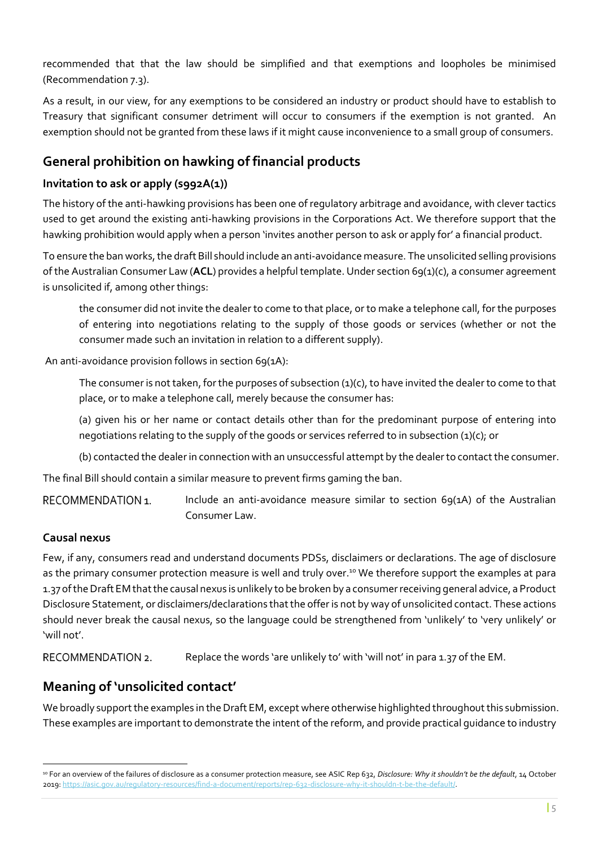recommended that that the law should be simplified and that exemptions and loopholes be minimised (Recommendation 7.3).

As a result, in our view, for any exemptions to be considered an industry or product should have to establish to Treasury that significant consumer detriment will occur to consumers if the exemption is not granted. An exemption should not be granted from these laws if it might cause inconvenience to a small group of consumers.

## General prohibition on hawking of financial products

### Invitation to ask or apply (s992A(1))

The history of the anti-hawking provisions has been one of regulatory arbitrage and avoidance, with clever tactics used to get around the existing anti-hawking provisions in the Corporations Act. We therefore support that the hawking prohibition would apply when a person 'invites another person to ask or apply for' a financial product.

To ensure the ban works, the draft Bill should include an anti-avoidance measure. The unsolicited selling provisions of the Australian Consumer Law (ACL) provides a helpful template. Under section 69(1)(c), a consumer agreement is unsolicited if, among other things:

the consumer did not invite the dealer to come to that place, or to make a telephone call, for the purposes of entering into negotiations relating to the supply of those goods or services (whether or not the consumer made such an invitation in relation to a different supply).

An anti-avoidance provision follows in section 69(1A):

The consumer is not taken, for the purposes of subsection  $(1)(c)$ , to have invited the dealer to come to that place, or to make a telephone call, merely because the consumer has:

(a) given his or her name or contact details other than for the predominant purpose of entering into negotiations relating to the supply of the goods or services referred to in subsection (1)(c); or

(b) contacted the dealer in connection with an unsuccessful attempt by the dealer to contact the consumer.

The final Bill should contain a similar measure to prevent firms gaming the ban.

RECOMMENDATION 1. Include an anti-avoidance measure similar to section 69(1A) of the Australian Consumer Law.

## Causal nexus

Few, if any, consumers read and understand documents PDSs, disclaimers or declarations. The age of disclosure as the primary consumer protection measure is well and truly over.<sup>10</sup> We therefore support the examples at para 1.37 of the Draft EM that the causal nexus is unlikely to be broken by a consumer receiving general advice, a Product Disclosure Statement, or disclaimers/declarations that the offer is not by way of unsolicited contact. These actions should never break the causal nexus, so the language could be strengthened from 'unlikely' to 'very unlikely' or 'will not'.

RECOMMENDATION 2. Replace the words 'are unlikely to' with 'will not' in para 1.37 of the EM.

## Meaning of 'unsolicited contact'

We broadly support the examples in the Draft EM, except where otherwise highlighted throughout this submission. These examples are important to demonstrate the intent of the reform, and provide practical guidance to industry

<sup>&</sup>lt;sup>10</sup> For an overview of the failures of disclosure as a consumer protection measure, see ASIC Rep 632, Disclosure: Why it shouldn't be the default, 14 October 2019: https://asic.gov.au/regulatory-resources/find-a-document/reports/rep-632-disclosure-why-it-shouldn-t-be-the-default/.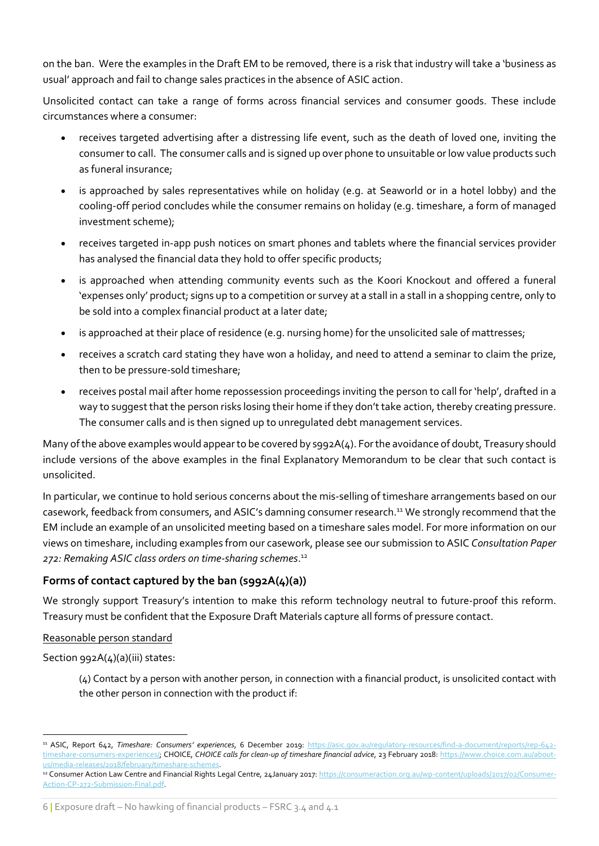on the ban. Were the examples in the Draft EM to be removed, there is a risk that industry will take a 'business as usual' approach and fail to change sales practices in the absence of ASIC action.

Unsolicited contact can take a range of forms across financial services and consumer goods. These include circumstances where a consumer:

- receives targeted advertising after a distressing life event, such as the death of loved one, inviting the consumer to call. The consumer calls and is signed up over phone to unsuitable or low value products such as funeral insurance;
- is approached by sales representatives while on holiday (e.g. at Seaworld or in a hotel lobby) and the cooling-off period concludes while the consumer remains on holiday (e.g. timeshare, a form of managed investment scheme);
- receives targeted in-app push notices on smart phones and tablets where the financial services provider has analysed the financial data they hold to offer specific products;
- is approached when attending community events such as the Koori Knockout and offered a funeral 'expenses only' product; signs up to a competition or survey at a stall in a stall in a shopping centre, only to be sold into a complex financial product at a later date;
- is approached at their place of residence (e.g. nursing home) for the unsolicited sale of mattresses;
- receives a scratch card stating they have won a holiday, and need to attend a seminar to claim the prize, then to be pressure-sold timeshare;
- receives postal mail after home repossession proceedings inviting the person to call for 'help', drafted in a way to suggest that the person risks losing their home if they don't take action, thereby creating pressure. The consumer calls and is then signed up to unregulated debt management services.

Many of the above examples would appear to be covered by s992A(4). For the avoidance of doubt, Treasury should include versions of the above examples in the final Explanatory Memorandum to be clear that such contact is unsolicited.

In particular, we continue to hold serious concerns about the mis-selling of timeshare arrangements based on our casework, feedback from consumers, and ASIC's damning consumer research.<sup>11</sup> We strongly recommend that the EM include an example of an unsolicited meeting based on a timeshare sales model. For more information on our views on timeshare, including examples from our casework, please see our submission to ASIC Consultation Paper 272: Remaking ASIC class orders on time-sharing schemes. 12

## Forms of contact captured by the ban (s992A(4)(a))

We strongly support Treasury's intention to make this reform technology neutral to future-proof this reform. Treasury must be confident that the Exposure Draft Materials capture all forms of pressure contact.

#### Reasonable person standard

Section 992A(4)(a)(iii) states:

(4) Contact by a person with another person, in connection with a financial product, is unsolicited contact with the other person in connection with the product if:

<sup>&</sup>lt;sup>11</sup> ASIC, Report 642, Timeshare: Consumers' experiences, 6 December 2019: https://asic.gov.au/regulatory-resources/find-a-document/reports/rep-642timeshare-consumers-experiences/; CHOICE, CHOICE calls for clean-up of timeshare financial advice, 23 February 2018: https://www.choice.com.au/aboutus/media-releases/2018/february/timeshare-schemes.

<sup>&</sup>lt;sup>12</sup> Consumer Action Law Centre and Financial Rights Legal Centre, 24January 2017: https://consumeraction.org.au/wp-content/uploads/2017/02/Consumer-Action-CP-272-Submission-Final.pdf.

<sup>6</sup> | Exposure draft – No hawking of financial products – FSRC 3.4 and 4.1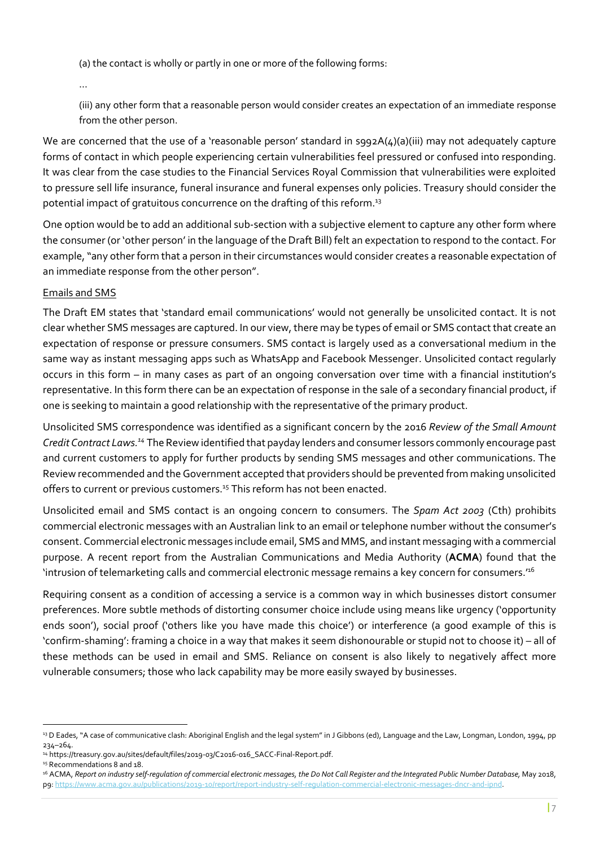(a) the contact is wholly or partly in one or more of the following forms:

…

(iii) any other form that a reasonable person would consider creates an expectation of an immediate response from the other person.

We are concerned that the use of a 'reasonable person' standard in s992A(4)(a)(iii) may not adequately capture forms of contact in which people experiencing certain vulnerabilities feel pressured or confused into responding. It was clear from the case studies to the Financial Services Royal Commission that vulnerabilities were exploited to pressure sell life insurance, funeral insurance and funeral expenses only policies. Treasury should consider the potential impact of gratuitous concurrence on the drafting of this reform.<sup>13</sup>

One option would be to add an additional sub-section with a subjective element to capture any other form where the consumer (or 'other person' in the language of the Draft Bill) felt an expectation to respond to the contact. For example, "any other form that a person in their circumstances would consider creates a reasonable expectation of an immediate response from the other person".

#### Emails and SMS

The Draft EM states that 'standard email communications' would not generally be unsolicited contact. It is not clear whether SMS messages are captured. In our view, there may be types of email or SMS contact that create an expectation of response or pressure consumers. SMS contact is largely used as a conversational medium in the same way as instant messaging apps such as WhatsApp and Facebook Messenger. Unsolicited contact regularly occurs in this form – in many cases as part of an ongoing conversation over time with a financial institution's representative. In this form there can be an expectation of response in the sale of a secondary financial product, if one is seeking to maintain a good relationship with the representative of the primary product.

Unsolicited SMS correspondence was identified as a significant concern by the 2016 Review of the Small Amount Credit Contract Laws.<sup>14</sup> The Review identified that payday lenders and consumer lessors commonly encourage past and current customers to apply for further products by sending SMS messages and other communications. The Review recommended and the Government accepted that providers should be prevented from making unsolicited offers to current or previous customers.<sup>15</sup> This reform has not been enacted.

Unsolicited email and SMS contact is an ongoing concern to consumers. The Spam Act 2003 (Cth) prohibits commercial electronic messages with an Australian link to an email or telephone number without the consumer's consent. Commercial electronic messages include email, SMS and MMS, and instant messaging with a commercial purpose. A recent report from the Australian Communications and Media Authority (ACMA) found that the 'intrusion of telemarketing calls and commercial electronic message remains a key concern for consumers.'<sup>16</sup>

Requiring consent as a condition of accessing a service is a common way in which businesses distort consumer preferences. More subtle methods of distorting consumer choice include using means like urgency ('opportunity ends soon'), social proof ('others like you have made this choice') or interference (a good example of this is 'confirm-shaming': framing a choice in a way that makes it seem dishonourable or stupid not to choose it) – all of these methods can be used in email and SMS. Reliance on consent is also likely to negatively affect more vulnerable consumers; those who lack capability may be more easily swayed by businesses.

<sup>&</sup>lt;sup>13</sup> D Eades, "A case of communicative clash: Aboriginal English and the legal system" in J Gibbons (ed), Language and the Law, Longman, London, 1994, pp 234–264.

<sup>14</sup> https://treasury.gov.au/sites/default/files/2019-03/C2016-016\_SACC-Final-Report.pdf.

<sup>&</sup>lt;sup>15</sup> Recommendations 8 and 18.

<sup>&</sup>lt;sup>16</sup> ACMA, Report on industry self-regulation of commercial electronic messages, the Do Not Call Register and the Integrated Public Number Database, May 2018, p9: https://www.acma.gov.au/publications/2019-10/report/report-industry-self-regulation-commercial-electronic-messages-dncr-and-ipnd.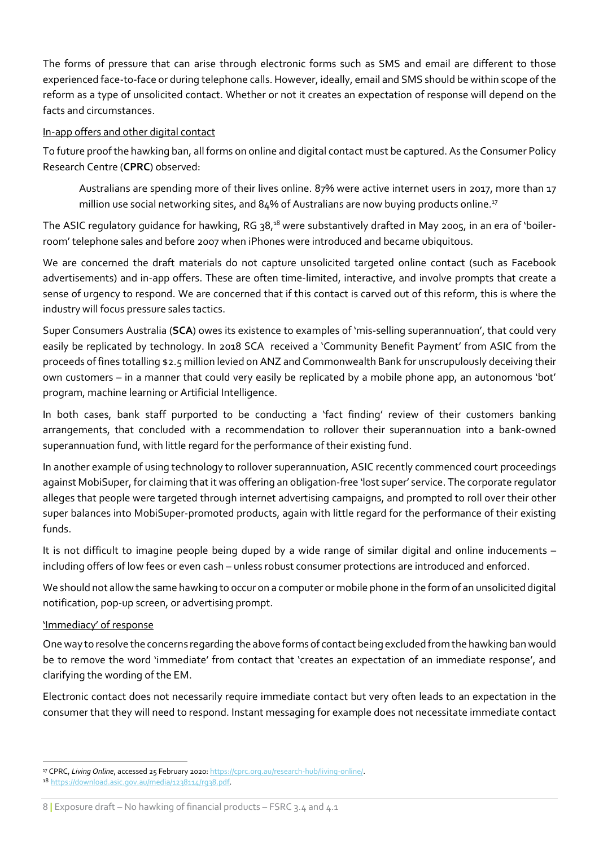The forms of pressure that can arise through electronic forms such as SMS and email are different to those experienced face-to-face or during telephone calls. However, ideally, email and SMS should be within scope of the reform as a type of unsolicited contact. Whether or not it creates an expectation of response will depend on the facts and circumstances.

#### In-app offers and other digital contact

To future proof the hawking ban, all forms on online and digital contact must be captured. As the Consumer Policy Research Centre (CPRC) observed:

Australians are spending more of their lives online. 87% were active internet users in 2017, more than 17 million use social networking sites, and 84% of Australians are now buying products online.<sup>17</sup>

The ASIC regulatory guidance for hawking, RG 38,<sup>18</sup> were substantively drafted in May 2005, in an era of 'boilerroom' telephone sales and before 2007 when iPhones were introduced and became ubiquitous.

We are concerned the draft materials do not capture unsolicited targeted online contact (such as Facebook advertisements) and in-app offers. These are often time-limited, interactive, and involve prompts that create a sense of urgency to respond. We are concerned that if this contact is carved out of this reform, this is where the industry will focus pressure sales tactics.

Super Consumers Australia (SCA) owes its existence to examples of 'mis-selling superannuation', that could very easily be replicated by technology. In 2018 SCA received a 'Community Benefit Payment' from ASIC from the proceeds of fines totalling \$2.5 million levied on ANZ and Commonwealth Bank for unscrupulously deceiving their own customers – in a manner that could very easily be replicated by a mobile phone app, an autonomous 'bot' program, machine learning or Artificial Intelligence.

In both cases, bank staff purported to be conducting a 'fact finding' review of their customers banking arrangements, that concluded with a recommendation to rollover their superannuation into a bank-owned superannuation fund, with little regard for the performance of their existing fund.

In another example of using technology to rollover superannuation, ASIC recently commenced court proceedings against MobiSuper, for claiming that it was offering an obligation-free 'lost super' service. The corporate regulator alleges that people were targeted through internet advertising campaigns, and prompted to roll over their other super balances into MobiSuper-promoted products, again with little regard for the performance of their existing funds.

It is not difficult to imagine people being duped by a wide range of similar digital and online inducements – including offers of low fees or even cash – unless robust consumer protections are introduced and enforced.

We should not allow the same hawking to occur on a computer or mobile phone in the form of an unsolicited digital notification, pop-up screen, or advertising prompt.

#### 'Immediacy' of response

One way to resolve the concerns regarding the above forms of contact being excluded from the hawking ban would be to remove the word 'immediate' from contact that 'creates an expectation of an immediate response', and clarifying the wording of the EM.

Electronic contact does not necessarily require immediate contact but very often leads to an expectation in the consumer that they will need to respond. Instant messaging for example does not necessitate immediate contact

<sup>&</sup>lt;sup>17</sup> CPRC, Living Online, accessed 25 February 2020: https://cprc.org.au/research-hub/living-online/.

<sup>18</sup> https://download.asic.gov.au/media/1238114/rg38.pdf.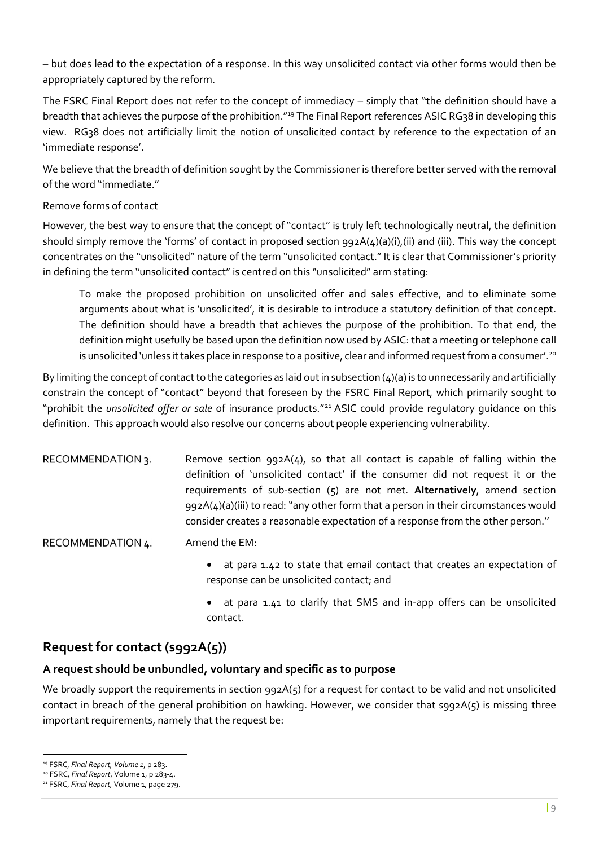– but does lead to the expectation of a response. In this way unsolicited contact via other forms would then be appropriately captured by the reform.

The FSRC Final Report does not refer to the concept of immediacy – simply that "the definition should have a breadth that achieves the purpose of the prohibition."<sup>19</sup> The Final Report references ASIC RG38 in developing this view. RG38 does not artificially limit the notion of unsolicited contact by reference to the expectation of an 'immediate response'.

We believe that the breadth of definition sought by the Commissioner is therefore better served with the removal of the word "immediate."

#### Remove forms of contact

However, the best way to ensure that the concept of "contact" is truly left technologically neutral, the definition should simply remove the 'forms' of contact in proposed section 992A(4)(a)(i),(ii) and (iii). This way the concept concentrates on the "unsolicited" nature of the term "unsolicited contact." It is clear that Commissioner's priority in defining the term "unsolicited contact" is centred on this "unsolicited" arm stating:

To make the proposed prohibition on unsolicited offer and sales effective, and to eliminate some arguments about what is 'unsolicited', it is desirable to introduce a statutory definition of that concept. The definition should have a breadth that achieves the purpose of the prohibition. To that end, the definition might usefully be based upon the definition now used by ASIC: that a meeting or telephone call is unsolicited 'unless it takes place in response to a positive, clear and informed request from a consumer'.<sup>20</sup>

By limiting the concept of contact to the categories as laid out in subsection  $(4)(a)$  is to unnecessarily and artificially constrain the concept of "contact" beyond that foreseen by the FSRC Final Report, which primarily sought to "prohibit the unsolicited offer or sale of insurance products."<sup>21</sup> ASIC could provide regulatory quidance on this definition. This approach would also resolve our concerns about people experiencing vulnerability.

Remove section 992A(4), so that all contact is capable of falling within the RECOMMENDATION 3. definition of 'unsolicited contact' if the consumer did not request it or the requirements of sub-section (5) are not met. Alternatively, amend section 992A(4)(a)(iii) to read: "any other form that a person in their circumstances would consider creates a reasonable expectation of a response from the other person.''

RECOMMENDATION 4. Amend the EM:

- at para 1.42 to state that email contact that creates an expectation of response can be unsolicited contact; and
- at para 1.41 to clarify that SMS and in-app offers can be unsolicited contact.

## Request for contact (s992A(5))

#### A request should be unbundled, voluntary and specific as to purpose

We broadly support the requirements in section 992A(5) for a request for contact to be valid and not unsolicited contact in breach of the general prohibition on hawking. However, we consider that  $s_{92}A(s)$  is missing three important requirements, namely that the request be:

<sup>19</sup> FSRC, Final Report, Volume 1, p 283.

<sup>&</sup>lt;sup>20</sup> FSRC, Final Report, Volume 1, p 283-4.

<sup>&</sup>lt;sup>21</sup> FSRC, Final Report, Volume 1, page 279.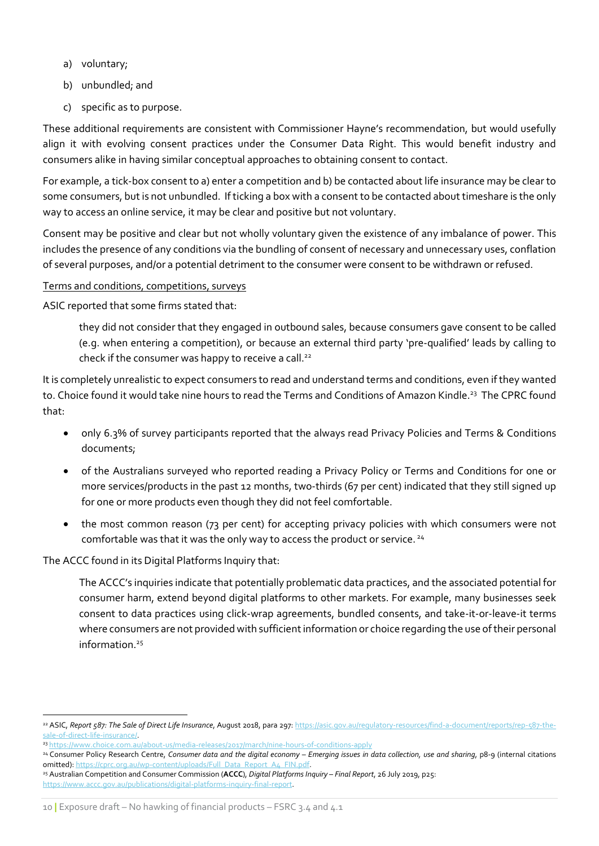- a) voluntary;
- b) unbundled; and
- c) specific as to purpose.

These additional requirements are consistent with Commissioner Hayne's recommendation, but would usefully align it with evolving consent practices under the Consumer Data Right. This would benefit industry and consumers alike in having similar conceptual approaches to obtaining consent to contact.

For example, a tick-box consent to a) enter a competition and b) be contacted about life insurance may be clear to some consumers, but is not unbundled. If ticking a box with a consent to be contacted about timeshare is the only way to access an online service, it may be clear and positive but not voluntary.

Consent may be positive and clear but not wholly voluntary given the existence of any imbalance of power. This includes the presence of any conditions via the bundling of consent of necessary and unnecessary uses, conflation of several purposes, and/or a potential detriment to the consumer were consent to be withdrawn or refused.

#### Terms and conditions, competitions, surveys

ASIC reported that some firms stated that:

they did not consider that they engaged in outbound sales, because consumers gave consent to be called (e.g. when entering a competition), or because an external third party 'pre-qualified' leads by calling to check if the consumer was happy to receive a call.<sup>22</sup>

It is completely unrealistic to expect consumers to read and understand terms and conditions, even if they wanted to. Choice found it would take nine hours to read the Terms and Conditions of Amazon Kindle.<sup>23</sup> The CPRC found that:

- only 6.3% of survey participants reported that the always read Privacy Policies and Terms & Conditions documents;
- of the Australians surveyed who reported reading a Privacy Policy or Terms and Conditions for one or more services/products in the past 12 months, two-thirds (67 per cent) indicated that they still signed up for one or more products even though they did not feel comfortable.
- the most common reason (73 per cent) for accepting privacy policies with which consumers were not comfortable was that it was the only way to access the product or service.<sup>24</sup>

The ACCC found in its Digital Platforms Inquiry that:

The ACCC's inquiries indicate that potentially problematic data practices, and the associated potential for consumer harm, extend beyond digital platforms to other markets. For example, many businesses seek consent to data practices using click-wrap agreements, bundled consents, and take-it-or-leave-it terms where consumers are not provided with sufficient information or choice regarding the use of their personal information.<sup>25</sup>

<sup>22</sup> ASIC, Report 587: The Sale of Direct Life Insurance, August 2018, para 297: https://asic.gov.au/regulatory-resources/find-a-document/reports/rep-587-thesale-of-direct-life-insurance/.

<sup>23</sup> https://www.choice.com.au/about-us/media-releases/2017/march/nine-hours-of-conditions-apply

<sup>&</sup>lt;sup>24</sup> Consumer Policy Research Centre, Consumer data and the digital economy – Emerging issues in data collection, use and sharing, p8-9 (internal citations omitted): https://cprc.org.au/wp-content/uploads/Full\_Data\_Report\_A4\_FIN.pdf.

<sup>&</sup>lt;sup>25</sup> Australian Competition and Consumer Commission (ACCC), Digital Platforms Inquiry – Final Report, 26 July 2019, p25: https://www.accc.gov.au/publications/digital-platforms-inquiry-final-report.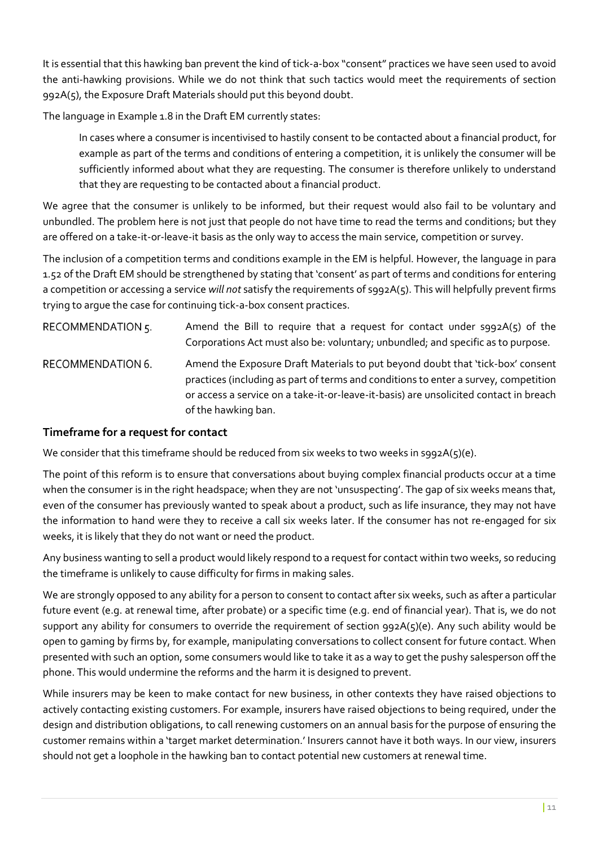It is essential that this hawking ban prevent the kind of tick-a-box "consent" practices we have seen used to avoid the anti-hawking provisions. While we do not think that such tactics would meet the requirements of section 992A(5), the Exposure Draft Materials should put this beyond doubt.

The language in Example 1.8 in the Draft EM currently states:

In cases where a consumer is incentivised to hastily consent to be contacted about a financial product, for example as part of the terms and conditions of entering a competition, it is unlikely the consumer will be sufficiently informed about what they are requesting. The consumer is therefore unlikely to understand that they are requesting to be contacted about a financial product.

We agree that the consumer is unlikely to be informed, but their request would also fail to be voluntary and unbundled. The problem here is not just that people do not have time to read the terms and conditions; but they are offered on a take-it-or-leave-it basis as the only way to access the main service, competition or survey.

The inclusion of a competition terms and conditions example in the EM is helpful. However, the language in para 1.52 of the Draft EM should be strengthened by stating that 'consent' as part of terms and conditions for entering a competition or accessing a service will not satisfy the requirements of s992A(5). This will helpfully prevent firms trying to argue the case for continuing tick-a-box consent practices.

RECOMMENDATION 5. Amend the Bill to require that a request for contact under  $sgg2A(5)$  of the Corporations Act must also be: voluntary; unbundled; and specific as to purpose. **RECOMMENDATION 6.** Amend the Exposure Draft Materials to put beyond doubt that 'tick-box' consent practices (including as part of terms and conditions to enter a survey, competition or access a service on a take-it-or-leave-it-basis) are unsolicited contact in breach of the hawking ban.

## Timeframe for a request for contact

We consider that this timeframe should be reduced from six weeks to two weeks in s992A(5)(e).

The point of this reform is to ensure that conversations about buying complex financial products occur at a time when the consumer is in the right headspace; when they are not 'unsuspecting'. The gap of six weeks means that, even of the consumer has previously wanted to speak about a product, such as life insurance, they may not have the information to hand were they to receive a call six weeks later. If the consumer has not re-engaged for six weeks, it is likely that they do not want or need the product.

Any business wanting to sell a product would likely respond to a request for contact within two weeks, so reducing the timeframe is unlikely to cause difficulty for firms in making sales.

We are strongly opposed to any ability for a person to consent to contact after six weeks, such as after a particular future event (e.g. at renewal time, after probate) or a specific time (e.g. end of financial year). That is, we do not support any ability for consumers to override the requirement of section 992A(5)(e). Any such ability would be open to gaming by firms by, for example, manipulating conversations to collect consent for future contact. When presented with such an option, some consumers would like to take it as a way to get the pushy salesperson off the phone. This would undermine the reforms and the harm it is designed to prevent.

While insurers may be keen to make contact for new business, in other contexts they have raised objections to actively contacting existing customers. For example, insurers have raised objections to being required, under the design and distribution obligations, to call renewing customers on an annual basis for the purpose of ensuring the customer remains within a 'target market determination.' Insurers cannot have it both ways. In our view, insurers should not get a loophole in the hawking ban to contact potential new customers at renewal time.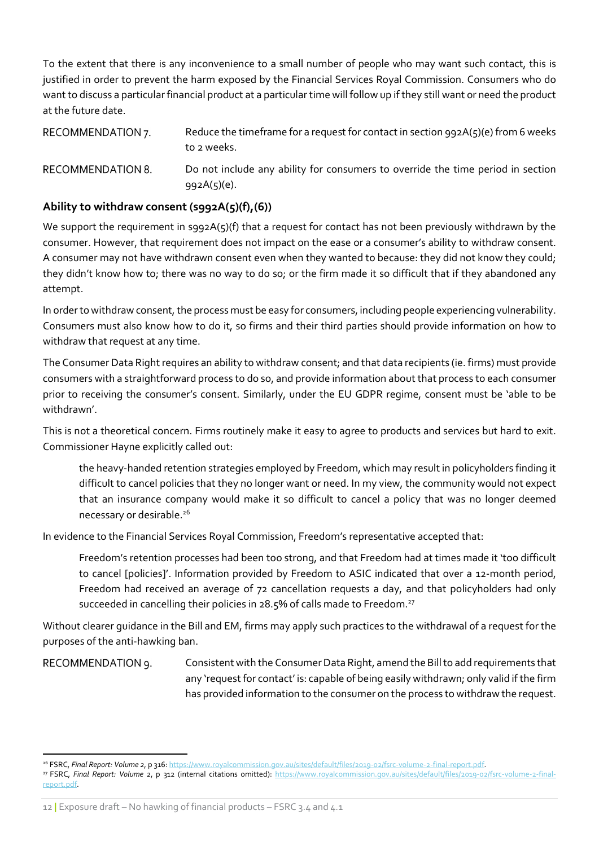To the extent that there is any inconvenience to a small number of people who may want such contact, this is justified in order to prevent the harm exposed by the Financial Services Royal Commission. Consumers who do want to discuss a particular financial product at a particular time will follow up if they still want or need the product at the future date.

RECOMMENDATION 7. Reduce the timeframe for a request for contact in section  $992A(5)(e)$  from 6 weeks to 2 weeks. **RECOMMENDATION 8.** Do not include any ability for consumers to override the time period in section

#### Ability to withdraw consent (s992A(5)(f),(6))

992A(5)(e).

We support the requirement in s992A(5)(f) that a request for contact has not been previously withdrawn by the consumer. However, that requirement does not impact on the ease or a consumer's ability to withdraw consent. A consumer may not have withdrawn consent even when they wanted to because: they did not know they could; they didn't know how to; there was no way to do so; or the firm made it so difficult that if they abandoned any attempt.

In order to withdraw consent, the process must be easy for consumers, including people experiencing vulnerability. Consumers must also know how to do it, so firms and their third parties should provide information on how to withdraw that request at any time.

The Consumer Data Right requires an ability to withdraw consent; and that data recipients (ie. firms) must provide consumers with a straightforward process to do so, and provide information about that process to each consumer prior to receiving the consumer's consent. Similarly, under the EU GDPR regime, consent must be 'able to be withdrawn'.

This is not a theoretical concern. Firms routinely make it easy to agree to products and services but hard to exit. Commissioner Hayne explicitly called out:

the heavy-handed retention strategies employed by Freedom, which may result in policyholders finding it difficult to cancel policies that they no longer want or need. In my view, the community would not expect that an insurance company would make it so difficult to cancel a policy that was no longer deemed necessary or desirable.<sup>26</sup>

In evidence to the Financial Services Royal Commission, Freedom's representative accepted that:

Freedom's retention processes had been too strong, and that Freedom had at times made it 'too difficult to cancel [policies]'. Information provided by Freedom to ASIC indicated that over a 12-month period, Freedom had received an average of 72 cancellation requests a day, and that policyholders had only succeeded in cancelling their policies in 28.5% of calls made to Freedom.<sup>27</sup>

Without clearer guidance in the Bill and EM, firms may apply such practices to the withdrawal of a request for the purposes of the anti-hawking ban.

#### RECOMMENDATION 9.

Consistent with the Consumer Data Right, amend the Bill to add requirements that any 'request for contact' is: capable of being easily withdrawn; only valid if the firm has provided information to the consumer on the process to withdraw the request.

<sup>&</sup>lt;sup>26</sup> FSRC, Final Report: Volume 2, p 316: https://www.royalcommission.gov.au/sites/default/files/2019-02/fsrc-volume-2-final-report.pdf

<sup>&</sup>lt;sup>27</sup> FSRC, Final Report: Volume 2, p 312 (internal citations omitted): https://www.royalcommission.gov.au/sites/default/files/2019-02/fsrc-volume-2-finalreport.pdf.

<sup>12 |</sup> Exposure draft – No hawking of financial products – FSRC 3.4 and 4.1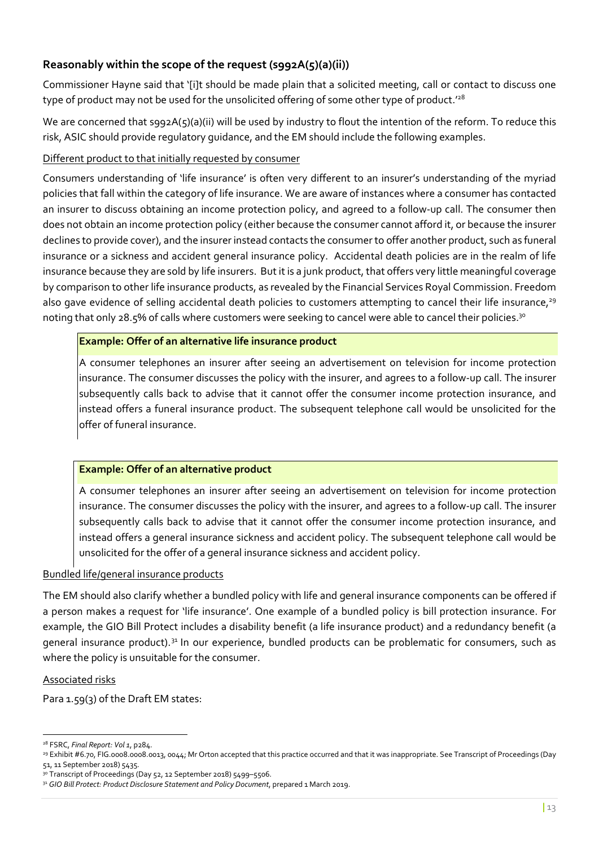## Reasonably within the scope of the request (s992A(5)(a)(ii))

Commissioner Hayne said that '[i]t should be made plain that a solicited meeting, call or contact to discuss one type of product may not be used for the unsolicited offering of some other type of product.'28

We are concerned that s992A(5)(a)(ii) will be used by industry to flout the intention of the reform. To reduce this risk, ASIC should provide regulatory guidance, and the EM should include the following examples.

#### Different product to that initially requested by consumer

Consumers understanding of 'life insurance' is often very different to an insurer's understanding of the myriad policies that fall within the category of life insurance. We are aware of instances where a consumer has contacted an insurer to discuss obtaining an income protection policy, and agreed to a follow-up call. The consumer then does not obtain an income protection policy (either because the consumer cannot afford it, or because the insurer declines to provide cover), and the insurer instead contacts the consumer to offer another product, such as funeral insurance or a sickness and accident general insurance policy. Accidental death policies are in the realm of life insurance because they are sold by life insurers. But it is a junk product, that offers very little meaningful coverage by comparison to other life insurance products, as revealed by the Financial Services Royal Commission. Freedom also gave evidence of selling accidental death policies to customers attempting to cancel their life insurance,<sup>29</sup> noting that only 28.5% of calls where customers were seeking to cancel were able to cancel their policies.<sup>30</sup>

#### Example: Offer of an alternative life insurance product

A consumer telephones an insurer after seeing an advertisement on television for income protection insurance. The consumer discusses the policy with the insurer, and agrees to a follow-up call. The insurer subsequently calls back to advise that it cannot offer the consumer income protection insurance, and instead offers a funeral insurance product. The subsequent telephone call would be unsolicited for the offer of funeral insurance.

#### Example: Offer of an alternative product

A consumer telephones an insurer after seeing an advertisement on television for income protection insurance. The consumer discusses the policy with the insurer, and agrees to a follow-up call. The insurer subsequently calls back to advise that it cannot offer the consumer income protection insurance, and instead offers a general insurance sickness and accident policy. The subsequent telephone call would be unsolicited for the offer of a general insurance sickness and accident policy.

#### Bundled life/general insurance products

The EM should also clarify whether a bundled policy with life and general insurance components can be offered if a person makes a request for 'life insurance'. One example of a bundled policy is bill protection insurance. For example, the GIO Bill Protect includes a disability benefit (a life insurance product) and a redundancy benefit (a general insurance product).<sup>31</sup> In our experience, bundled products can be problematic for consumers, such as where the policy is unsuitable for the consumer.

#### Associated risks

Para 1.59(3) of the Draft EM states:

 $28$  FSRC, Final Report: Vol 1, p284.

<sup>29</sup> Exhibit #6.70, FIG.0008.0008.0013, 0044; Mr Orton accepted that this practice occurred and that it was inappropriate. See Transcript of Proceedings (Day 51, 11 September 2018) 5435.

<sup>3</sup>º Transcript of Proceedings (Day 52, 12 September 2018) 5499-5506.

<sup>31</sup> GIO Bill Protect: Product Disclosure Statement and Policy Document, prepared 1 March 2019.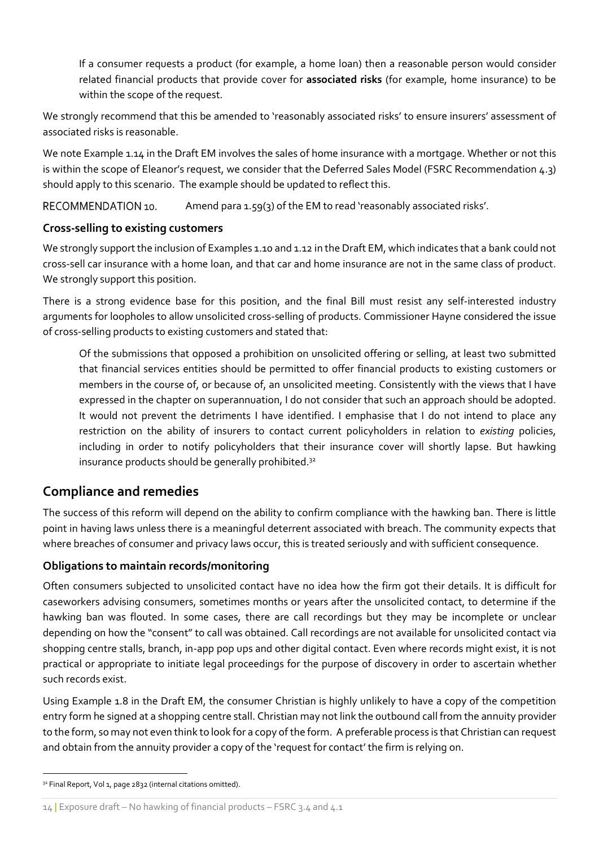If a consumer requests a product (for example, a home loan) then a reasonable person would consider related financial products that provide cover for **associated risks** (for example, home insurance) to be within the scope of the request.

We strongly recommend that this be amended to 'reasonably associated risks' to ensure insurers' assessment of associated risks is reasonable.

We note Example 1.14 in the Draft EM involves the sales of home insurance with a mortgage. Whether or not this is within the scope of Eleanor's request, we consider that the Deferred Sales Model (FSRC Recommendation 4.3) should apply to this scenario. The example should be updated to reflect this.

RECOMMENDATION 10 Amend para 1.59(3) of the EM to read 'reasonably associated risks'.

## Cross-selling to existing customers

We strongly support the inclusion of Examples 1.10 and 1.12 in the Draft EM, which indicates that a bank could not cross-sell car insurance with a home loan, and that car and home insurance are not in the same class of product. We strongly support this position.

There is a strong evidence base for this position, and the final Bill must resist any self-interested industry arguments for loopholes to allow unsolicited cross-selling of products. Commissioner Hayne considered the issue of cross-selling products to existing customers and stated that:

Of the submissions that opposed a prohibition on unsolicited offering or selling, at least two submitted that financial services entities should be permitted to offer financial products to existing customers or members in the course of, or because of, an unsolicited meeting. Consistently with the views that I have expressed in the chapter on superannuation, I do not consider that such an approach should be adopted. It would not prevent the detriments I have identified. I emphasise that I do not intend to place any restriction on the ability of insurers to contact current policyholders in relation to existing policies, including in order to notify policyholders that their insurance cover will shortly lapse. But hawking insurance products should be generally prohibited.<sup>32</sup>

## Compliance and remedies

The success of this reform will depend on the ability to confirm compliance with the hawking ban. There is little point in having laws unless there is a meaningful deterrent associated with breach. The community expects that where breaches of consumer and privacy laws occur, this is treated seriously and with sufficient consequence.

## Obligations to maintain records/monitoring

Often consumers subjected to unsolicited contact have no idea how the firm got their details. It is difficult for caseworkers advising consumers, sometimes months or years after the unsolicited contact, to determine if the hawking ban was flouted. In some cases, there are call recordings but they may be incomplete or unclear depending on how the "consent" to call was obtained. Call recordings are not available for unsolicited contact via shopping centre stalls, branch, in-app pop ups and other digital contact. Even where records might exist, it is not practical or appropriate to initiate legal proceedings for the purpose of discovery in order to ascertain whether such records exist.

Using Example 1.8 in the Draft EM, the consumer Christian is highly unlikely to have a copy of the competition entry form he signed at a shopping centre stall. Christian may not link the outbound call from the annuity provider to the form, so may not even think to look for a copy of the form. A preferable process is that Christian can request and obtain from the annuity provider a copy of the 'request for contact' the firm is relying on.

<sup>32</sup> Final Report, Vol 1, page 2832 (internal citations omitted).

<sup>14 |</sup> Exposure draft – No hawking of financial products – FSRC 3.4 and 4.1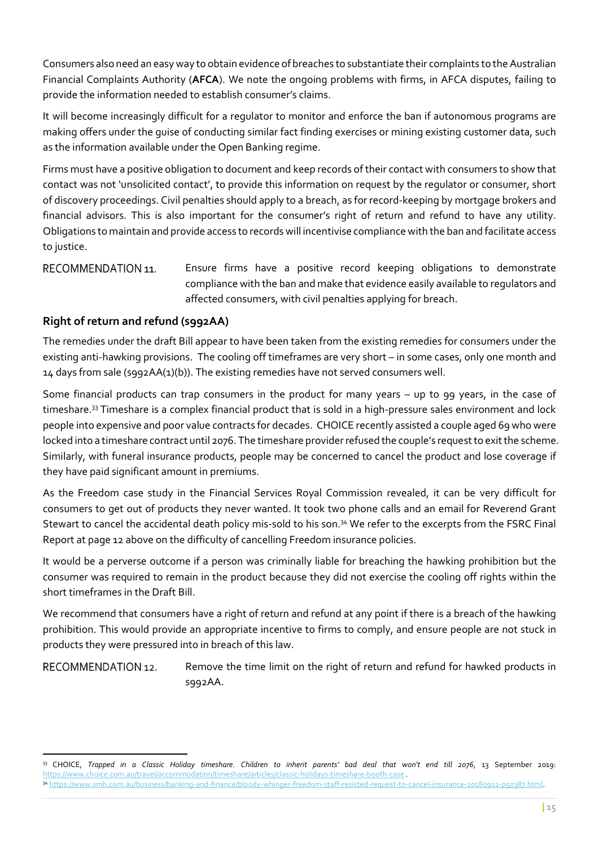Consumers also need an easy way to obtain evidence of breaches to substantiate their complaints to the Australian Financial Complaints Authority (AFCA). We note the ongoing problems with firms, in AFCA disputes, failing to provide the information needed to establish consumer's claims.

It will become increasingly difficult for a regulator to monitor and enforce the ban if autonomous programs are making offers under the guise of conducting similar fact finding exercises or mining existing customer data, such as the information available under the Open Banking regime.

Firms must have a positive obligation to document and keep records of their contact with consumers to show that contact was not 'unsolicited contact', to provide this information on request by the regulator or consumer, short of discovery proceedings. Civil penalties should apply to a breach, as for record-keeping by mortgage brokers and financial advisors. This is also important for the consumer's right of return and refund to have any utility. Obligations to maintain and provide access to records will incentivise compliance with the ban and facilitate access to justice.

RECOMMENDATION 11. Ensure firms have a positive record keeping obligations to demonstrate compliance with the ban and make that evidence easily available to regulators and affected consumers, with civil penalties applying for breach.

## Right of return and refund (s992AA)

The remedies under the draft Bill appear to have been taken from the existing remedies for consumers under the existing anti-hawking provisions. The cooling off timeframes are very short – in some cases, only one month and 14 days from sale (s992AA(1)(b)). The existing remedies have not served consumers well.

Some financial products can trap consumers in the product for many years – up to 99 years, in the case of timeshare.<sup>33</sup> Timeshare is a complex financial product that is sold in a high-pressure sales environment and lock people into expensive and poor value contracts for decades. CHOICE recently assisted a couple aged 69 who were locked into a timeshare contract until 2076. The timeshare provider refused the couple's request to exit the scheme. Similarly, with funeral insurance products, people may be concerned to cancel the product and lose coverage if they have paid significant amount in premiums.

As the Freedom case study in the Financial Services Royal Commission revealed, it can be very difficult for consumers to get out of products they never wanted. It took two phone calls and an email for Reverend Grant Stewart to cancel the accidental death policy mis-sold to his son.<sup>34</sup> We refer to the excerpts from the FSRC Final Report at page 12 above on the difficulty of cancelling Freedom insurance policies.

It would be a perverse outcome if a person was criminally liable for breaching the hawking prohibition but the consumer was required to remain in the product because they did not exercise the cooling off rights within the short timeframes in the Draft Bill.

We recommend that consumers have a right of return and refund at any point if there is a breach of the hawking prohibition. This would provide an appropriate incentive to firms to comply, and ensure people are not stuck in products they were pressured into in breach of this law.

RECOMMENDATION 12

Remove the time limit on the right of return and refund for hawked products in s992AA.

<sup>33</sup> CHOICE, Trapped in a Classic Holiday timeshare. Children to inherit parents' bad deal that won't end till 2076, 13 September 2019: https://www.choice.com.au/travel/accommodation/timeshare/articles/classic-holidays-timeshare-booth-case . <sup>34</sup> https://www.smh.com.au/business/banking-and-finance/bloody-whinger-freedom-staff-resisted-request-to-cancel-insurance-20180912-p50387.html.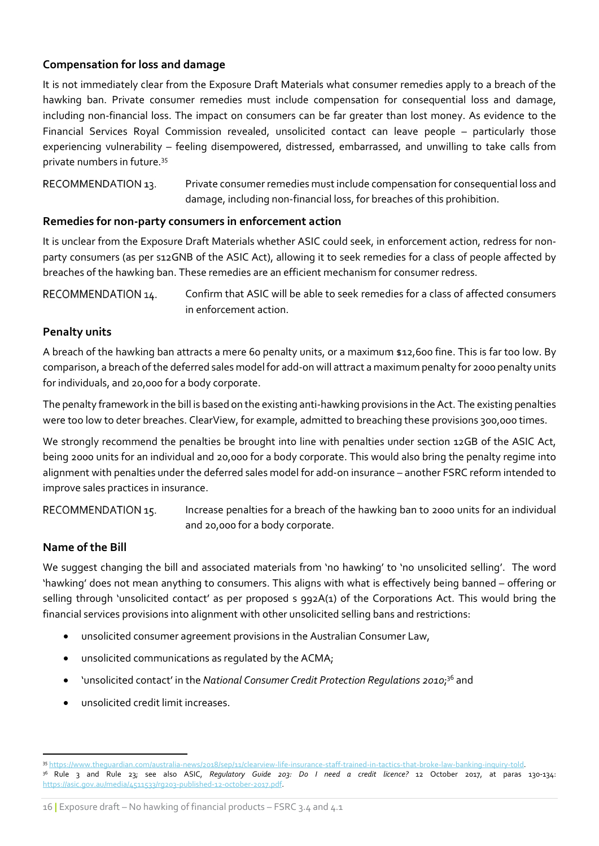## Compensation for loss and damage

It is not immediately clear from the Exposure Draft Materials what consumer remedies apply to a breach of the hawking ban. Private consumer remedies must include compensation for consequential loss and damage, including non-financial loss. The impact on consumers can be far greater than lost money. As evidence to the Financial Services Royal Commission revealed, unsolicited contact can leave people – particularly those experiencing vulnerability – feeling disempowered, distressed, embarrassed, and unwilling to take calls from private numbers in future.<sup>35</sup>

Private consumer remedies must include compensation for consequential loss and RECOMMENDATION 13. damage, including non-financial loss, for breaches of this prohibition.

### Remedies for non-party consumers in enforcement action

It is unclear from the Exposure Draft Materials whether ASIC could seek, in enforcement action, redress for nonparty consumers (as per s12GNB of the ASIC Act), allowing it to seek remedies for a class of people affected by breaches of the hawking ban. These remedies are an efficient mechanism for consumer redress.

Confirm that ASIC will be able to seek remedies for a class of affected consumers RECOMMENDATION 14. in enforcement action.

### Penalty units

A breach of the hawking ban attracts a mere 60 penalty units, or a maximum \$12,600 fine. This is far too low. By comparison, a breach of the deferred sales model for add-on will attract a maximum penalty for 2000 penalty units for individuals, and 20,000 for a body corporate.

The penalty framework in the bill is based on the existing anti-hawking provisions in the Act. The existing penalties were too low to deter breaches. ClearView, for example, admitted to breaching these provisions 300,000 times.

We strongly recommend the penalties be brought into line with penalties under section 12GB of the ASIC Act, being 2000 units for an individual and 20,000 for a body corporate. This would also bring the penalty regime into alignment with penalties under the deferred sales model for add-on insurance – another FSRC reform intended to improve sales practices in insurance.

RECOMMENDATION 15.

Increase penalties for a breach of the hawking ban to 2000 units for an individual and 20,000 for a body corporate.

## Name of the Bill

We suggest changing the bill and associated materials from 'no hawking' to 'no unsolicited selling'. The word 'hawking' does not mean anything to consumers. This aligns with what is effectively being banned – offering or selling through 'unsolicited contact' as per proposed s 992A(1) of the Corporations Act. This would bring the financial services provisions into alignment with other unsolicited selling bans and restrictions:

- unsolicited consumer agreement provisions in the Australian Consumer Law,
- unsolicited communications as regulated by the ACMA;
- 'unsolicited contact' in the National Consumer Credit Protection Regulations 2010;<sup>36</sup> and
- unsolicited credit limit increases.

<sup>35</sup> https://www.theguardian.com/australia-news/2018/sep/11/clearview-life-insurance-staff-trained-in-tactics-that-broke-law-banking-inquiry-told. <sup>36</sup> Rule 3 and Rule 23; see also ASIC, Regulatory Guide 203: Do I need a credit licence? 12 October 2017, at paras 130-134: https://asic.gov.au/media/4511533/rg203-published-12-october-2017.pdf.

<sup>16</sup> | Exposure draft – No hawking of financial products – FSRC 3.4 and 4.1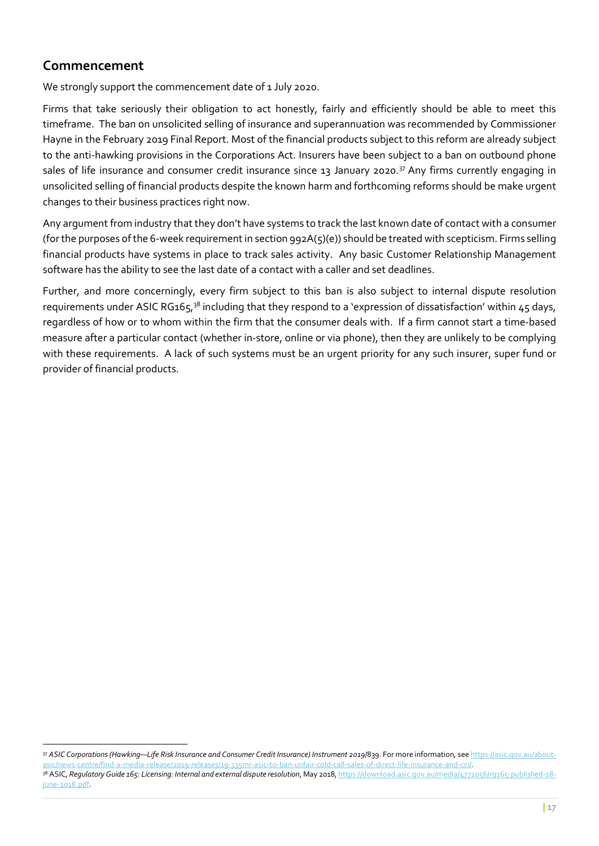## Commencement

We strongly support the commencement date of 1 July 2020.

Firms that take seriously their obligation to act honestly, fairly and efficiently should be able to meet this timeframe. The ban on unsolicited selling of insurance and superannuation was recommended by Commissioner Hayne in the February 2019 Final Report. Most of the financial products subject to this reform are already subject to the anti-hawking provisions in the Corporations Act. Insurers have been subject to a ban on outbound phone sales of life insurance and consumer credit insurance since 13 January 2020.<sup>37</sup> Any firms currently engaging in unsolicited selling of financial products despite the known harm and forthcoming reforms should be make urgent changes to their business practices right now.

Any argument from industry that they don't have systems to track the last known date of contact with a consumer (for the purposes of the 6-week requirement in section  $992A(5)(e)$ ) should be treated with scepticism. Firms selling financial products have systems in place to track sales activity. Any basic Customer Relationship Management software has the ability to see the last date of a contact with a caller and set deadlines.

Further, and more concerningly, every firm subject to this ban is also subject to internal dispute resolution requirements under ASIC RG165,<sup>38</sup> including that they respond to a 'expression of dissatisfaction' within 45 days, regardless of how or to whom within the firm that the consumer deals with. If a firm cannot start a time-based measure after a particular contact (whether in-store, online or via phone), then they are unlikely to be complying with these requirements. A lack of such systems must be an urgent priority for any such insurer, super fund or provider of financial products.

<sup>37</sup> ASIC Corporations (Hawking-Life Risk Insurance and Consumer Credit Insurance) Instrument 2019/839. For more information, see https://asic.gov.au/aboutasic/news-centre/find-a-media-release/2019-releases/19-335mr-asic-to-ban-unfair-cold-call-sales-of-direct-life-insurance-and-cci/.

<sup>38</sup> ASIC, Regulatory Guide 165: Licensing: Internal and external dispute resolution, May 2018, https://download.asic.gov.au/media/4772056/rg165-published-18june-2018.pdf.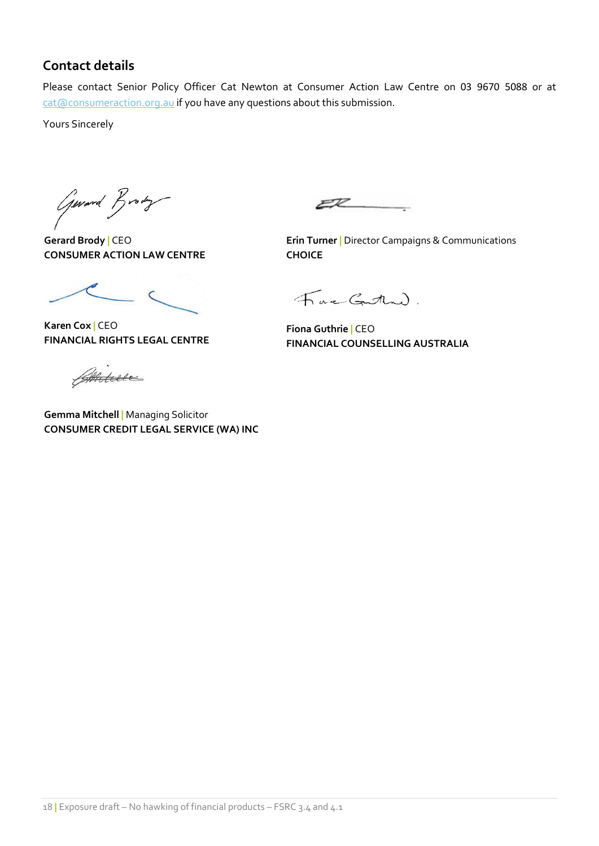## Contact details

Please contact Senior Policy Officer Cat Newton at Consumer Action Law Centre on 03 9670 5088 or at cat@consumeraction.org.au if you have any questions about this submission.

Yours Sincerely

Gerard Brody

Gerard Brody | CEO CONSUMER ACTION LAW CENTRE

 $\epsilon$ 

Karen Cox | CEO FINANCIAL RIGHTS LEGAL CENTRE

Aniture

Gemma Mitchell | Managing Solicitor CONSUMER CREDIT LEGAL SERVICE (WA) INC

 $ER$ 

**Erin Turner | Director Campaigns & Communications** CHOICE

Fac Gatha).

Fiona Guthrie | CEO FINANCIAL COUNSELLING AUSTRALIA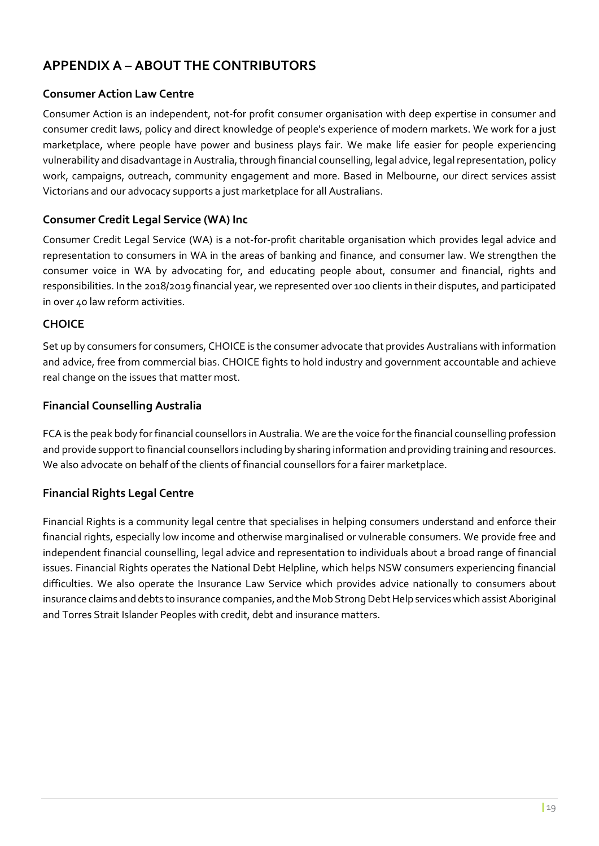# APPENDIX A – ABOUT THE CONTRIBUTORS

## Consumer Action Law Centre

Consumer Action is an independent, not-for profit consumer organisation with deep expertise in consumer and consumer credit laws, policy and direct knowledge of people's experience of modern markets. We work for a just marketplace, where people have power and business plays fair. We make life easier for people experiencing vulnerability and disadvantage in Australia, through financial counselling, legal advice, legal representation, policy work, campaigns, outreach, community engagement and more. Based in Melbourne, our direct services assist Victorians and our advocacy supports a just marketplace for all Australians.

## Consumer Credit Legal Service (WA) Inc

Consumer Credit Legal Service (WA) is a not-for-profit charitable organisation which provides legal advice and representation to consumers in WA in the areas of banking and finance, and consumer law. We strengthen the consumer voice in WA by advocating for, and educating people about, consumer and financial, rights and responsibilities. In the 2018/2019 financial year, we represented over 100 clients in their disputes, and participated in over 40 law reform activities.

## **CHOICE**

Set up by consumers for consumers, CHOICE is the consumer advocate that provides Australians with information and advice, free from commercial bias. CHOICE fights to hold industry and government accountable and achieve real change on the issues that matter most.

## Financial Counselling Australia

FCA is the peak body for financial counsellors in Australia. We are the voice for the financial counselling profession and provide support to financial counsellors including by sharing information and providing training and resources. We also advocate on behalf of the clients of financial counsellors for a fairer marketplace.

## Financial Rights Legal Centre

Financial Rights is a community legal centre that specialises in helping consumers understand and enforce their financial rights, especially low income and otherwise marginalised or vulnerable consumers. We provide free and independent financial counselling, legal advice and representation to individuals about a broad range of financial issues. Financial Rights operates the National Debt Helpline, which helps NSW consumers experiencing financial difficulties. We also operate the Insurance Law Service which provides advice nationally to consumers about insurance claims and debts to insurance companies, and the Mob Strong Debt Help services which assist Aboriginal and Torres Strait Islander Peoples with credit, debt and insurance matters.